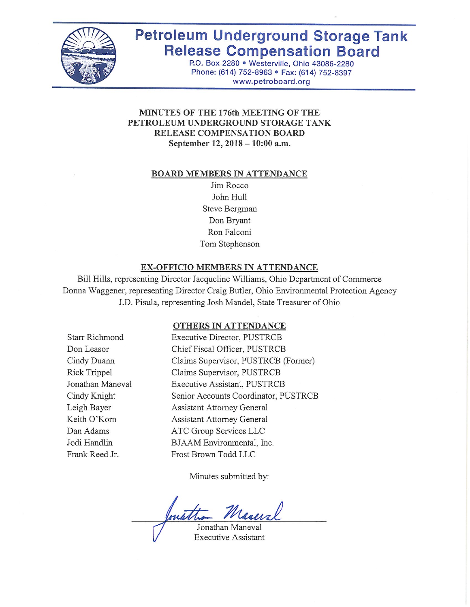

# **Petroleum Underground Storage Tank Release Compensation Board**

P.O. Box 2280 . Westerville, Ohio 43086-2280 Phone: (614) 752-8963 · Fax: (614) 752-8397 www.petroboard.org

## MINUTES OF THE 176th MEETING OF THE PETROLEUM UNDERGROUND STORAGE TANK RELEASE COMPENSATION BOARD September 12, 2018 - 10:00 a.m.

#### **BOARD MEMBERS IN ATTENDANCE**

Jim Rocco John Hull Steve Bergman Don Bryant Ron Falconi Tom Stephenson

#### EX-OFFICIO MEMBERS IN ATTENDANCE

Bill Hills, representing Director Jacqueline Williams, Ohio Department of Commerce Donna Waggener, representing Director Craig Butler, Ohio Environmental Protection Agency J.D. Pisula, representing Josh Mandel, State Treasurer of Ohio

#### OTHERS IN ATTENDANCE

Starr Richmond Don Leasor Cindy Duann Rick Trippel Jonathan Maneval Cindy Knight Leigh Bayer Keith O'Korn Dan Adams Jodi Handlin Frank Reed Jr.

Executive Director, PUSTRCB Chief Fiscal Officer, PUSTRCB Claims Supervisor, PUSTRCB (Former) Claims Supervisor, PUSTRCB Executive Assistant, PUSTRCB Senior Accounts Coordinator, PUSTRCB **Assistant Attorney General Assistant Attorney General** ATC Group Services LLC BJAAM Environmental, Inc. Frost Brown Todd LLC

Minutes submitted by:

Jonathan Maneval

**Executive Assistant**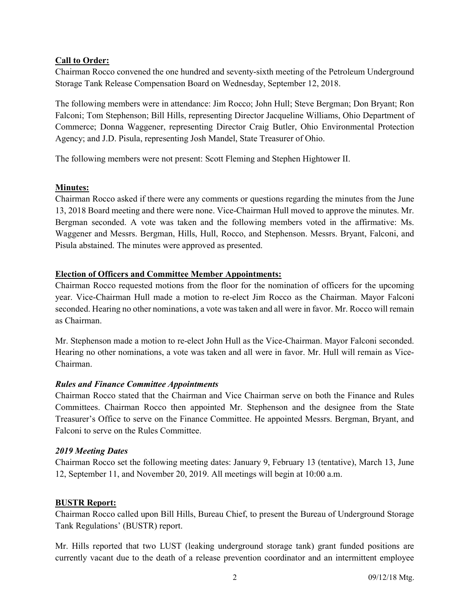## **Call to Order:**

Chairman Rocco convened the one hundred and seventy-sixth meeting of the Petroleum Underground Storage Tank Release Compensation Board on Wednesday, September 12, 2018.

The following members were in attendance: Jim Rocco; John Hull; Steve Bergman; Don Bryant; Ron Falconi; Tom Stephenson; Bill Hills, representing Director Jacqueline Williams, Ohio Department of Commerce; Donna Waggener, representing Director Craig Butler, Ohio Environmental Protection Agency; and J.D. Pisula, representing Josh Mandel, State Treasurer of Ohio.

The following members were not present: Scott Fleming and Stephen Hightower II.

## **Minutes:**

Chairman Rocco asked if there were any comments or questions regarding the minutes from the June 13, 2018 Board meeting and there were none. Vice-Chairman Hull moved to approve the minutes. Mr. Bergman seconded. A vote was taken and the following members voted in the affirmative: Ms. Waggener and Messrs. Bergman, Hills, Hull, Rocco, and Stephenson. Messrs. Bryant, Falconi, and Pisula abstained. The minutes were approved as presented.

## **Election of Officers and Committee Member Appointments:**

Chairman Rocco requested motions from the floor for the nomination of officers for the upcoming year. Vice-Chairman Hull made a motion to re-elect Jim Rocco as the Chairman. Mayor Falconi seconded. Hearing no other nominations, a vote was taken and all were in favor. Mr. Rocco will remain as Chairman.

Mr. Stephenson made a motion to re-elect John Hull as the Vice-Chairman. Mayor Falconi seconded. Hearing no other nominations, a vote was taken and all were in favor. Mr. Hull will remain as Vice-Chairman.

## *Rules and Finance Committee Appointments*

Chairman Rocco stated that the Chairman and Vice Chairman serve on both the Finance and Rules Committees. Chairman Rocco then appointed Mr. Stephenson and the designee from the State Treasurer's Office to serve on the Finance Committee. He appointed Messrs. Bergman, Bryant, and Falconi to serve on the Rules Committee.

## *2019 Meeting Dates*

Chairman Rocco set the following meeting dates: January 9, February 13 (tentative), March 13, June 12, September 11, and November 20, 2019. All meetings will begin at 10:00 a.m.

## **BUSTR Report:**

Chairman Rocco called upon Bill Hills, Bureau Chief, to present the Bureau of Underground Storage Tank Regulations' (BUSTR) report.

Mr. Hills reported that two LUST (leaking underground storage tank) grant funded positions are currently vacant due to the death of a release prevention coordinator and an intermittent employee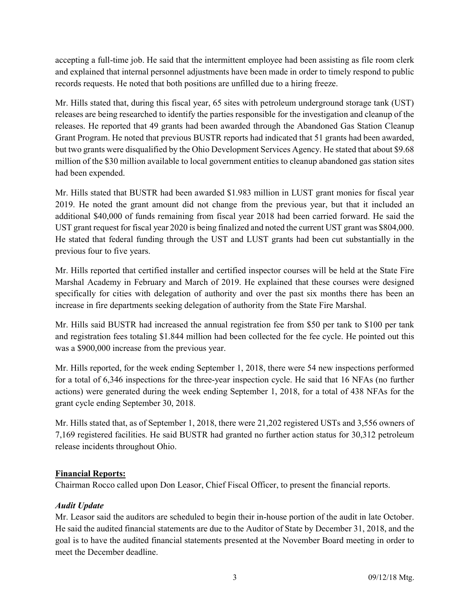accepting a full-time job. He said that the intermittent employee had been assisting as file room clerk and explained that internal personnel adjustments have been made in order to timely respond to public records requests. He noted that both positions are unfilled due to a hiring freeze.

Mr. Hills stated that, during this fiscal year, 65 sites with petroleum underground storage tank (UST) releases are being researched to identify the parties responsible for the investigation and cleanup of the releases. He reported that 49 grants had been awarded through the Abandoned Gas Station Cleanup Grant Program. He noted that previous BUSTR reports had indicated that 51 grants had been awarded, but two grants were disqualified by the Ohio Development Services Agency. He stated that about \$9.68 million of the \$30 million available to local government entities to cleanup abandoned gas station sites had been expended.

Mr. Hills stated that BUSTR had been awarded \$1.983 million in LUST grant monies for fiscal year 2019. He noted the grant amount did not change from the previous year, but that it included an additional \$40,000 of funds remaining from fiscal year 2018 had been carried forward. He said the UST grant request for fiscal year 2020 is being finalized and noted the current UST grant was \$804,000. He stated that federal funding through the UST and LUST grants had been cut substantially in the previous four to five years.

Mr. Hills reported that certified installer and certified inspector courses will be held at the State Fire Marshal Academy in February and March of 2019. He explained that these courses were designed specifically for cities with delegation of authority and over the past six months there has been an increase in fire departments seeking delegation of authority from the State Fire Marshal.

Mr. Hills said BUSTR had increased the annual registration fee from \$50 per tank to \$100 per tank and registration fees totaling \$1.844 million had been collected for the fee cycle. He pointed out this was a \$900,000 increase from the previous year.

Mr. Hills reported, for the week ending September 1, 2018, there were 54 new inspections performed for a total of 6,346 inspections for the three-year inspection cycle. He said that 16 NFAs (no further actions) were generated during the week ending September 1, 2018, for a total of 438 NFAs for the grant cycle ending September 30, 2018.

Mr. Hills stated that, as of September 1, 2018, there were 21,202 registered USTs and 3,556 owners of 7,169 registered facilities. He said BUSTR had granted no further action status for 30,312 petroleum release incidents throughout Ohio.

# **Financial Reports:**

Chairman Rocco called upon Don Leasor, Chief Fiscal Officer, to present the financial reports.

# *Audit Update*

Mr. Leasor said the auditors are scheduled to begin their in-house portion of the audit in late October. He said the audited financial statements are due to the Auditor of State by December 31, 2018, and the goal is to have the audited financial statements presented at the November Board meeting in order to meet the December deadline.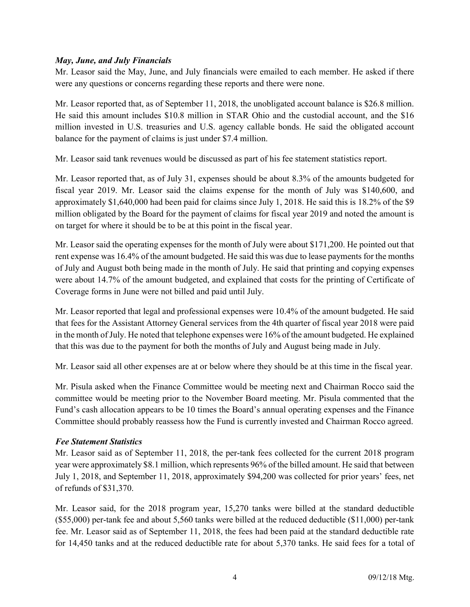## *May, June, and July Financials*

Mr. Leasor said the May, June, and July financials were emailed to each member. He asked if there were any questions or concerns regarding these reports and there were none.

Mr. Leasor reported that, as of September 11, 2018, the unobligated account balance is \$26.8 million. He said this amount includes \$10.8 million in STAR Ohio and the custodial account, and the \$16 million invested in U.S. treasuries and U.S. agency callable bonds. He said the obligated account balance for the payment of claims is just under \$7.4 million.

Mr. Leasor said tank revenues would be discussed as part of his fee statement statistics report.

Mr. Leasor reported that, as of July 31, expenses should be about 8.3% of the amounts budgeted for fiscal year 2019. Mr. Leasor said the claims expense for the month of July was \$140,600, and approximately \$1,640,000 had been paid for claims since July 1, 2018. He said this is 18.2% of the \$9 million obligated by the Board for the payment of claims for fiscal year 2019 and noted the amount is on target for where it should be to be at this point in the fiscal year.

Mr. Leasor said the operating expenses for the month of July were about \$171,200. He pointed out that rent expense was 16.4% of the amount budgeted. He said this was due to lease payments for the months of July and August both being made in the month of July. He said that printing and copying expenses were about 14.7% of the amount budgeted, and explained that costs for the printing of Certificate of Coverage forms in June were not billed and paid until July.

Mr. Leasor reported that legal and professional expenses were 10.4% of the amount budgeted. He said that fees for the Assistant Attorney General services from the 4th quarter of fiscal year 2018 were paid in the month of July. He noted that telephone expenses were 16% of the amount budgeted. He explained that this was due to the payment for both the months of July and August being made in July.

Mr. Leasor said all other expenses are at or below where they should be at this time in the fiscal year.

Mr. Pisula asked when the Finance Committee would be meeting next and Chairman Rocco said the committee would be meeting prior to the November Board meeting. Mr. Pisula commented that the Fund's cash allocation appears to be 10 times the Board's annual operating expenses and the Finance Committee should probably reassess how the Fund is currently invested and Chairman Rocco agreed.

# *Fee Statement Statistics*

Mr. Leasor said as of September 11, 2018, the per-tank fees collected for the current 2018 program year were approximately \$8.1 million, which represents 96% of the billed amount. He said that between July 1, 2018, and September 11, 2018, approximately \$94,200 was collected for prior years' fees, net of refunds of \$31,370.

Mr. Leasor said, for the 2018 program year, 15,270 tanks were billed at the standard deductible (\$55,000) per-tank fee and about 5,560 tanks were billed at the reduced deductible (\$11,000) per-tank fee. Mr. Leasor said as of September 11, 2018, the fees had been paid at the standard deductible rate for 14,450 tanks and at the reduced deductible rate for about 5,370 tanks. He said fees for a total of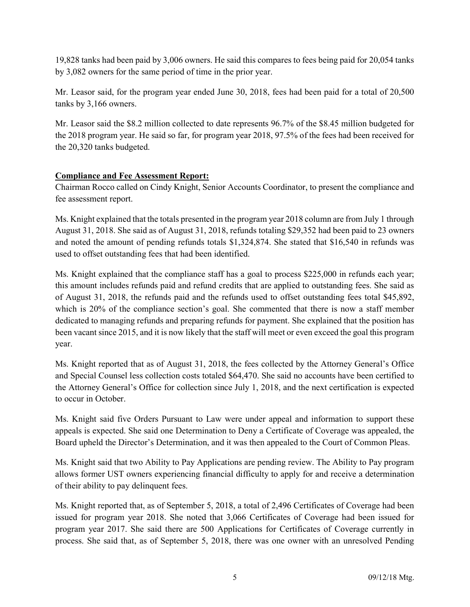19,828 tanks had been paid by 3,006 owners. He said this compares to fees being paid for 20,054 tanks by 3,082 owners for the same period of time in the prior year.

Mr. Leasor said, for the program year ended June 30, 2018, fees had been paid for a total of 20,500 tanks by 3,166 owners.

Mr. Leasor said the \$8.2 million collected to date represents 96.7% of the \$8.45 million budgeted for the 2018 program year. He said so far, for program year 2018, 97.5% of the fees had been received for the 20,320 tanks budgeted.

# **Compliance and Fee Assessment Report:**

Chairman Rocco called on Cindy Knight, Senior Accounts Coordinator, to present the compliance and fee assessment report.

Ms. Knight explained that the totals presented in the program year 2018 column are from July 1 through August 31, 2018. She said as of August 31, 2018, refunds totaling \$29,352 had been paid to 23 owners and noted the amount of pending refunds totals \$1,324,874. She stated that \$16,540 in refunds was used to offset outstanding fees that had been identified.

Ms. Knight explained that the compliance staff has a goal to process \$225,000 in refunds each year; this amount includes refunds paid and refund credits that are applied to outstanding fees. She said as of August 31, 2018, the refunds paid and the refunds used to offset outstanding fees total \$45,892, which is 20% of the compliance section's goal. She commented that there is now a staff member dedicated to managing refunds and preparing refunds for payment. She explained that the position has been vacant since 2015, and it is now likely that the staff will meet or even exceed the goal this program year.

Ms. Knight reported that as of August 31, 2018, the fees collected by the Attorney General's Office and Special Counsel less collection costs totaled \$64,470. She said no accounts have been certified to the Attorney General's Office for collection since July 1, 2018, and the next certification is expected to occur in October.

Ms. Knight said five Orders Pursuant to Law were under appeal and information to support these appeals is expected. She said one Determination to Deny a Certificate of Coverage was appealed, the Board upheld the Director's Determination, and it was then appealed to the Court of Common Pleas.

Ms. Knight said that two Ability to Pay Applications are pending review. The Ability to Pay program allows former UST owners experiencing financial difficulty to apply for and receive a determination of their ability to pay delinquent fees.

Ms. Knight reported that, as of September 5, 2018, a total of 2,496 Certificates of Coverage had been issued for program year 2018. She noted that 3,066 Certificates of Coverage had been issued for program year 2017. She said there are 500 Applications for Certificates of Coverage currently in process. She said that, as of September 5, 2018, there was one owner with an unresolved Pending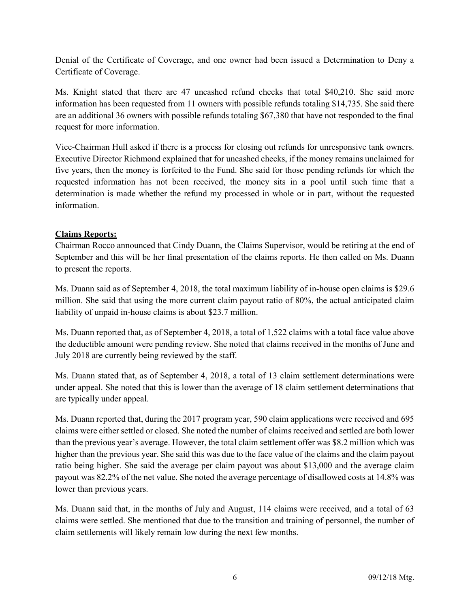Denial of the Certificate of Coverage, and one owner had been issued a Determination to Deny a Certificate of Coverage.

Ms. Knight stated that there are 47 uncashed refund checks that total \$40,210. She said more information has been requested from 11 owners with possible refunds totaling \$14,735. She said there are an additional 36 owners with possible refunds totaling \$67,380 that have not responded to the final request for more information.

Vice-Chairman Hull asked if there is a process for closing out refunds for unresponsive tank owners. Executive Director Richmond explained that for uncashed checks, if the money remains unclaimed for five years, then the money is forfeited to the Fund. She said for those pending refunds for which the requested information has not been received, the money sits in a pool until such time that a determination is made whether the refund my processed in whole or in part, without the requested information.

# **Claims Reports:**

Chairman Rocco announced that Cindy Duann, the Claims Supervisor, would be retiring at the end of September and this will be her final presentation of the claims reports. He then called on Ms. Duann to present the reports.

Ms. Duann said as of September 4, 2018, the total maximum liability of in-house open claims is \$29.6 million. She said that using the more current claim payout ratio of 80%, the actual anticipated claim liability of unpaid in-house claims is about \$23.7 million.

Ms. Duann reported that, as of September 4, 2018, a total of 1,522 claims with a total face value above the deductible amount were pending review. She noted that claims received in the months of June and July 2018 are currently being reviewed by the staff.

Ms. Duann stated that, as of September 4, 2018, a total of 13 claim settlement determinations were under appeal. She noted that this is lower than the average of 18 claim settlement determinations that are typically under appeal.

Ms. Duann reported that, during the 2017 program year, 590 claim applications were received and 695 claims were either settled or closed. She noted the number of claims received and settled are both lower than the previous year's average. However, the total claim settlement offer was \$8.2 million which was higher than the previous year. She said this was due to the face value of the claims and the claim payout ratio being higher. She said the average per claim payout was about \$13,000 and the average claim payout was 82.2% of the net value. She noted the average percentage of disallowed costs at 14.8% was lower than previous years.

Ms. Duann said that, in the months of July and August, 114 claims were received, and a total of 63 claims were settled. She mentioned that due to the transition and training of personnel, the number of claim settlements will likely remain low during the next few months.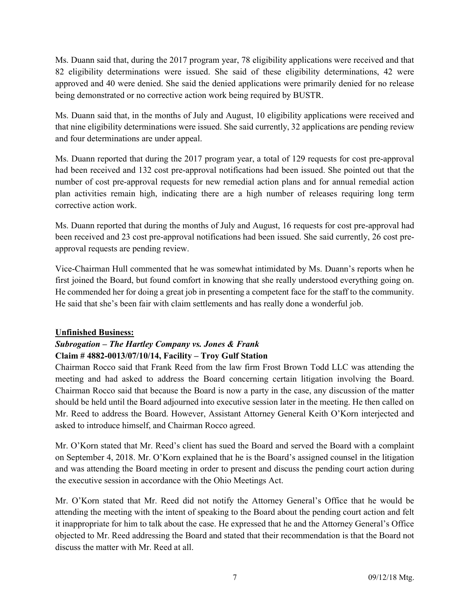Ms. Duann said that, during the 2017 program year, 78 eligibility applications were received and that 82 eligibility determinations were issued. She said of these eligibility determinations, 42 were approved and 40 were denied. She said the denied applications were primarily denied for no release being demonstrated or no corrective action work being required by BUSTR.

Ms. Duann said that, in the months of July and August, 10 eligibility applications were received and that nine eligibility determinations were issued. She said currently, 32 applications are pending review and four determinations are under appeal.

Ms. Duann reported that during the 2017 program year, a total of 129 requests for cost pre-approval had been received and 132 cost pre-approval notifications had been issued. She pointed out that the number of cost pre-approval requests for new remedial action plans and for annual remedial action plan activities remain high, indicating there are a high number of releases requiring long term corrective action work.

Ms. Duann reported that during the months of July and August, 16 requests for cost pre-approval had been received and 23 cost pre-approval notifications had been issued. She said currently, 26 cost preapproval requests are pending review.

Vice-Chairman Hull commented that he was somewhat intimidated by Ms. Duann's reports when he first joined the Board, but found comfort in knowing that she really understood everything going on. He commended her for doing a great job in presenting a competent face for the staff to the community. He said that she's been fair with claim settlements and has really done a wonderful job.

# **Unfinished Business:**

# *Subrogation – The Hartley Company vs. Jones & Frank*  **Claim # 4882-0013/07/10/14, Facility – Troy Gulf Station**

Chairman Rocco said that Frank Reed from the law firm Frost Brown Todd LLC was attending the meeting and had asked to address the Board concerning certain litigation involving the Board. Chairman Rocco said that because the Board is now a party in the case, any discussion of the matter should be held until the Board adjourned into executive session later in the meeting. He then called on Mr. Reed to address the Board. However, Assistant Attorney General Keith O'Korn interjected and asked to introduce himself, and Chairman Rocco agreed.

Mr. O'Korn stated that Mr. Reed's client has sued the Board and served the Board with a complaint on September 4, 2018. Mr. O'Korn explained that he is the Board's assigned counsel in the litigation and was attending the Board meeting in order to present and discuss the pending court action during the executive session in accordance with the Ohio Meetings Act.

Mr. O'Korn stated that Mr. Reed did not notify the Attorney General's Office that he would be attending the meeting with the intent of speaking to the Board about the pending court action and felt it inappropriate for him to talk about the case. He expressed that he and the Attorney General's Office objected to Mr. Reed addressing the Board and stated that their recommendation is that the Board not discuss the matter with Mr. Reed at all.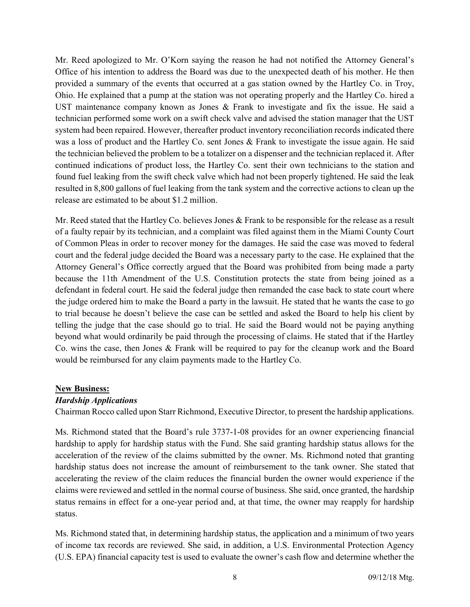Mr. Reed apologized to Mr. O'Korn saying the reason he had not notified the Attorney General's Office of his intention to address the Board was due to the unexpected death of his mother. He then provided a summary of the events that occurred at a gas station owned by the Hartley Co. in Troy, Ohio. He explained that a pump at the station was not operating properly and the Hartley Co. hired a UST maintenance company known as Jones & Frank to investigate and fix the issue. He said a technician performed some work on a swift check valve and advised the station manager that the UST system had been repaired. However, thereafter product inventory reconciliation records indicated there was a loss of product and the Hartley Co. sent Jones & Frank to investigate the issue again. He said the technician believed the problem to be a totalizer on a dispenser and the technician replaced it. After continued indications of product loss, the Hartley Co. sent their own technicians to the station and found fuel leaking from the swift check valve which had not been properly tightened. He said the leak resulted in 8,800 gallons of fuel leaking from the tank system and the corrective actions to clean up the release are estimated to be about \$1.2 million.

Mr. Reed stated that the Hartley Co. believes Jones & Frank to be responsible for the release as a result of a faulty repair by its technician, and a complaint was filed against them in the Miami County Court of Common Pleas in order to recover money for the damages. He said the case was moved to federal court and the federal judge decided the Board was a necessary party to the case. He explained that the Attorney General's Office correctly argued that the Board was prohibited from being made a party because the 11th Amendment of the U.S. Constitution protects the state from being joined as a defendant in federal court. He said the federal judge then remanded the case back to state court where the judge ordered him to make the Board a party in the lawsuit. He stated that he wants the case to go to trial because he doesn't believe the case can be settled and asked the Board to help his client by telling the judge that the case should go to trial. He said the Board would not be paying anything beyond what would ordinarily be paid through the processing of claims. He stated that if the Hartley Co. wins the case, then Jones & Frank will be required to pay for the cleanup work and the Board would be reimbursed for any claim payments made to the Hartley Co.

## **New Business:**

## *Hardship Applications*

Chairman Rocco called upon Starr Richmond, Executive Director, to present the hardship applications.

Ms. Richmond stated that the Board's rule 3737-1-08 provides for an owner experiencing financial hardship to apply for hardship status with the Fund. She said granting hardship status allows for the acceleration of the review of the claims submitted by the owner. Ms. Richmond noted that granting hardship status does not increase the amount of reimbursement to the tank owner. She stated that accelerating the review of the claim reduces the financial burden the owner would experience if the claims were reviewed and settled in the normal course of business. She said, once granted, the hardship status remains in effect for a one-year period and, at that time, the owner may reapply for hardship status.

Ms. Richmond stated that, in determining hardship status, the application and a minimum of two years of income tax records are reviewed. She said, in addition, a U.S. Environmental Protection Agency (U.S. EPA) financial capacity test is used to evaluate the owner's cash flow and determine whether the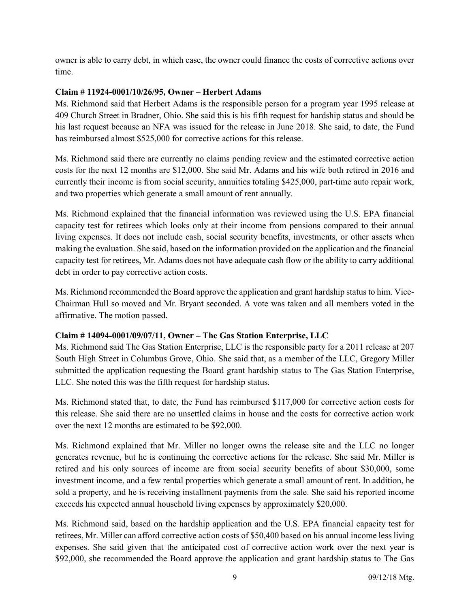owner is able to carry debt, in which case, the owner could finance the costs of corrective actions over time.

## **Claim # 11924-0001/10/26/95, Owner – Herbert Adams**

Ms. Richmond said that Herbert Adams is the responsible person for a program year 1995 release at 409 Church Street in Bradner, Ohio. She said this is his fifth request for hardship status and should be his last request because an NFA was issued for the release in June 2018. She said, to date, the Fund has reimbursed almost \$525,000 for corrective actions for this release.

Ms. Richmond said there are currently no claims pending review and the estimated corrective action costs for the next 12 months are \$12,000. She said Mr. Adams and his wife both retired in 2016 and currently their income is from social security, annuities totaling \$425,000, part-time auto repair work, and two properties which generate a small amount of rent annually.

Ms. Richmond explained that the financial information was reviewed using the U.S. EPA financial capacity test for retirees which looks only at their income from pensions compared to their annual living expenses. It does not include cash, social security benefits, investments, or other assets when making the evaluation. She said, based on the information provided on the application and the financial capacity test for retirees, Mr. Adams does not have adequate cash flow or the ability to carry additional debt in order to pay corrective action costs.

Ms. Richmond recommended the Board approve the application and grant hardship status to him. Vice-Chairman Hull so moved and Mr. Bryant seconded. A vote was taken and all members voted in the affirmative. The motion passed.

# **Claim # 14094-0001/09/07/11, Owner – The Gas Station Enterprise, LLC**

Ms. Richmond said The Gas Station Enterprise, LLC is the responsible party for a 2011 release at 207 South High Street in Columbus Grove, Ohio. She said that, as a member of the LLC, Gregory Miller submitted the application requesting the Board grant hardship status to The Gas Station Enterprise, LLC. She noted this was the fifth request for hardship status.

Ms. Richmond stated that, to date, the Fund has reimbursed \$117,000 for corrective action costs for this release. She said there are no unsettled claims in house and the costs for corrective action work over the next 12 months are estimated to be \$92,000.

Ms. Richmond explained that Mr. Miller no longer owns the release site and the LLC no longer generates revenue, but he is continuing the corrective actions for the release. She said Mr. Miller is retired and his only sources of income are from social security benefits of about \$30,000, some investment income, and a few rental properties which generate a small amount of rent. In addition, he sold a property, and he is receiving installment payments from the sale. She said his reported income exceeds his expected annual household living expenses by approximately \$20,000.

Ms. Richmond said, based on the hardship application and the U.S. EPA financial capacity test for retirees, Mr. Miller can afford corrective action costs of \$50,400 based on his annual income less living expenses. She said given that the anticipated cost of corrective action work over the next year is \$92,000, she recommended the Board approve the application and grant hardship status to The Gas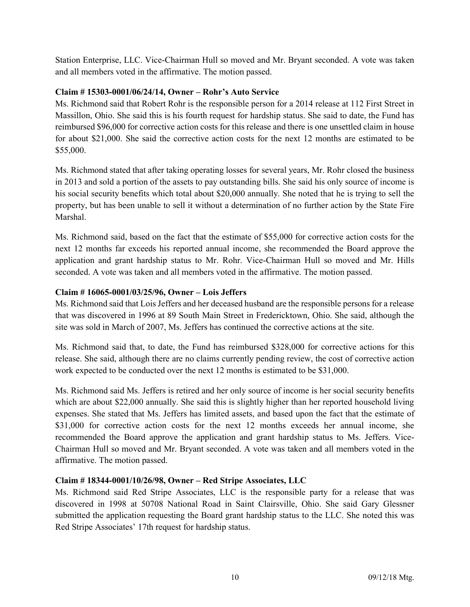Station Enterprise, LLC. Vice-Chairman Hull so moved and Mr. Bryant seconded. A vote was taken and all members voted in the affirmative. The motion passed.

## **Claim # 15303-0001/06/24/14, Owner – Rohr's Auto Service**

Ms. Richmond said that Robert Rohr is the responsible person for a 2014 release at 112 First Street in Massillon, Ohio. She said this is his fourth request for hardship status. She said to date, the Fund has reimbursed \$96,000 for corrective action costs for this release and there is one unsettled claim in house for about \$21,000. She said the corrective action costs for the next 12 months are estimated to be \$55,000.

Ms. Richmond stated that after taking operating losses for several years, Mr. Rohr closed the business in 2013 and sold a portion of the assets to pay outstanding bills. She said his only source of income is his social security benefits which total about \$20,000 annually. She noted that he is trying to sell the property, but has been unable to sell it without a determination of no further action by the State Fire Marshal.

Ms. Richmond said, based on the fact that the estimate of \$55,000 for corrective action costs for the next 12 months far exceeds his reported annual income, she recommended the Board approve the application and grant hardship status to Mr. Rohr. Vice-Chairman Hull so moved and Mr. Hills seconded. A vote was taken and all members voted in the affirmative. The motion passed.

## **Claim # 16065-0001/03/25/96, Owner – Lois Jeffers**

Ms. Richmond said that Lois Jeffers and her deceased husband are the responsible persons for a release that was discovered in 1996 at 89 South Main Street in Fredericktown, Ohio. She said, although the site was sold in March of 2007, Ms. Jeffers has continued the corrective actions at the site.

Ms. Richmond said that, to date, the Fund has reimbursed \$328,000 for corrective actions for this release. She said, although there are no claims currently pending review, the cost of corrective action work expected to be conducted over the next 12 months is estimated to be \$31,000.

Ms. Richmond said Ms. Jeffers is retired and her only source of income is her social security benefits which are about \$22,000 annually. She said this is slightly higher than her reported household living expenses. She stated that Ms. Jeffers has limited assets, and based upon the fact that the estimate of \$31,000 for corrective action costs for the next 12 months exceeds her annual income, she recommended the Board approve the application and grant hardship status to Ms. Jeffers. Vice-Chairman Hull so moved and Mr. Bryant seconded. A vote was taken and all members voted in the affirmative. The motion passed.

## **Claim # 18344-0001/10/26/98, Owner – Red Stripe Associates, LLC**

Ms. Richmond said Red Stripe Associates, LLC is the responsible party for a release that was discovered in 1998 at 50708 National Road in Saint Clairsville, Ohio. She said Gary Glessner submitted the application requesting the Board grant hardship status to the LLC. She noted this was Red Stripe Associates' 17th request for hardship status.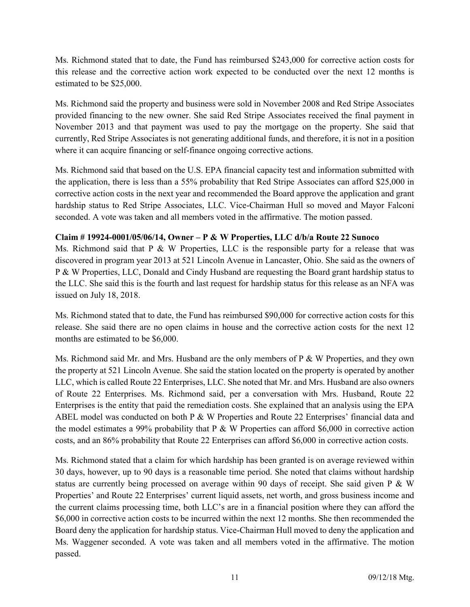Ms. Richmond stated that to date, the Fund has reimbursed \$243,000 for corrective action costs for this release and the corrective action work expected to be conducted over the next 12 months is estimated to be \$25,000.

Ms. Richmond said the property and business were sold in November 2008 and Red Stripe Associates provided financing to the new owner. She said Red Stripe Associates received the final payment in November 2013 and that payment was used to pay the mortgage on the property. She said that currently, Red Stripe Associates is not generating additional funds, and therefore, it is not in a position where it can acquire financing or self-finance ongoing corrective actions.

Ms. Richmond said that based on the U.S. EPA financial capacity test and information submitted with the application, there is less than a 55% probability that Red Stripe Associates can afford \$25,000 in corrective action costs in the next year and recommended the Board approve the application and grant hardship status to Red Stripe Associates, LLC. Vice-Chairman Hull so moved and Mayor Falconi seconded. A vote was taken and all members voted in the affirmative. The motion passed.

## **Claim # 19924-0001/05/06/14, Owner – P & W Properties, LLC d/b/a Route 22 Sunoco**

Ms. Richmond said that P & W Properties, LLC is the responsible party for a release that was discovered in program year 2013 at 521 Lincoln Avenue in Lancaster, Ohio. She said as the owners of P & W Properties, LLC, Donald and Cindy Husband are requesting the Board grant hardship status to the LLC. She said this is the fourth and last request for hardship status for this release as an NFA was issued on July 18, 2018.

Ms. Richmond stated that to date, the Fund has reimbursed \$90,000 for corrective action costs for this release. She said there are no open claims in house and the corrective action costs for the next 12 months are estimated to be \$6,000.

Ms. Richmond said Mr. and Mrs. Husband are the only members of  $P \& W$  Properties, and they own the property at 521 Lincoln Avenue. She said the station located on the property is operated by another LLC, which is called Route 22 Enterprises, LLC. She noted that Mr. and Mrs. Husband are also owners of Route 22 Enterprises. Ms. Richmond said, per a conversation with Mrs. Husband, Route 22 Enterprises is the entity that paid the remediation costs. She explained that an analysis using the EPA ABEL model was conducted on both P & W Properties and Route 22 Enterprises' financial data and the model estimates a 99% probability that P & W Properties can afford \$6,000 in corrective action costs, and an 86% probability that Route 22 Enterprises can afford \$6,000 in corrective action costs.

Ms. Richmond stated that a claim for which hardship has been granted is on average reviewed within 30 days, however, up to 90 days is a reasonable time period. She noted that claims without hardship status are currently being processed on average within 90 days of receipt. She said given P & W Properties' and Route 22 Enterprises' current liquid assets, net worth, and gross business income and the current claims processing time, both LLC's are in a financial position where they can afford the \$6,000 in corrective action costs to be incurred within the next 12 months. She then recommended the Board deny the application for hardship status. Vice-Chairman Hull moved to deny the application and Ms. Waggener seconded. A vote was taken and all members voted in the affirmative. The motion passed.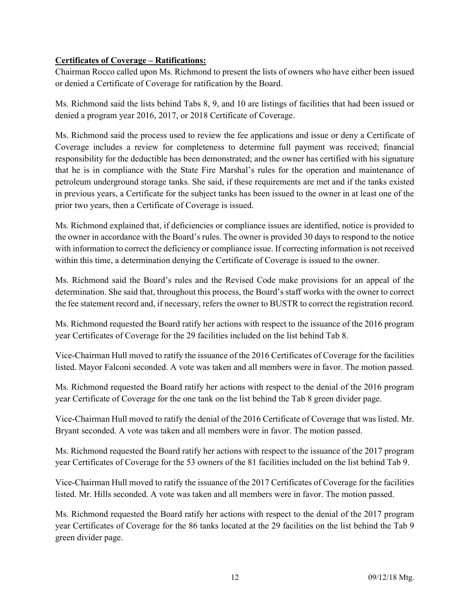## **Certificates of Coverage – Ratifications:**

Chairman Rocco called upon Ms. Richmond to present the lists of owners who have either been issued or denied a Certificate of Coverage for ratification by the Board.

Ms. Richmond said the lists behind Tabs 8, 9, and 10 are listings of facilities that had been issued or denied a program year 2016, 2017, or 2018 Certificate of Coverage.

Ms. Richmond said the process used to review the fee applications and issue or deny a Certificate of Coverage includes a review for completeness to determine full payment was received; financial responsibility for the deductible has been demonstrated; and the owner has certified with his signature that he is in compliance with the State Fire Marshal's rules for the operation and maintenance of petroleum underground storage tanks. She said, if these requirements are met and if the tanks existed in previous years, a Certificate for the subject tanks has been issued to the owner in at least one of the prior two years, then a Certificate of Coverage is issued.

Ms. Richmond explained that, if deficiencies or compliance issues are identified, notice is provided to the owner in accordance with the Board's rules. The owner is provided 30 days to respond to the notice with information to correct the deficiency or compliance issue. If correcting information is not received within this time, a determination denying the Certificate of Coverage is issued to the owner.

Ms. Richmond said the Board's rules and the Revised Code make provisions for an appeal of the determination. She said that, throughout this process, the Board's staff works with the owner to correct the fee statement record and, if necessary, refers the owner to BUSTR to correct the registration record.

Ms. Richmond requested the Board ratify her actions with respect to the issuance of the 2016 program year Certificates of Coverage for the 29 facilities included on the list behind Tab 8.

Vice-Chairman Hull moved to ratify the issuance of the 2016 Certificates of Coverage for the facilities listed. Mayor Falconi seconded. A vote was taken and all members were in favor. The motion passed.

Ms. Richmond requested the Board ratify her actions with respect to the denial of the 2016 program year Certificate of Coverage for the one tank on the list behind the Tab 8 green divider page.

Vice-Chairman Hull moved to ratify the denial of the 2016 Certificate of Coverage that was listed. Mr. Bryant seconded. A vote was taken and all members were in favor. The motion passed.

Ms. Richmond requested the Board ratify her actions with respect to the issuance of the 2017 program year Certificates of Coverage for the 53 owners of the 81 facilities included on the list behind Tab 9.

Vice-Chairman Hull moved to ratify the issuance of the 2017 Certificates of Coverage for the facilities listed. Mr. Hills seconded. A vote was taken and all members were in favor. The motion passed.

Ms. Richmond requested the Board ratify her actions with respect to the denial of the 2017 program year Certificates of Coverage for the 86 tanks located at the 29 facilities on the list behind the Tab 9 green divider page.